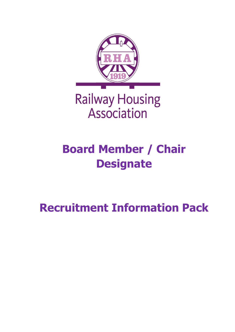

# **Railway Housing** Association

# **Board Member / Chair Designate**

## **Recruitment Information Pack**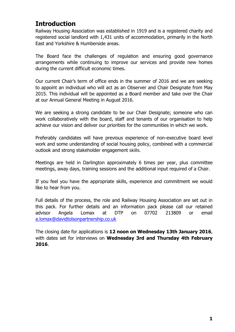### **Introduction**

Railway Housing Association was established in 1919 and is a registered charity and registered social landlord with 1,431 units of accommodation, primarily in the North East and Yorkshire & Humberside areas.

The Board face the challenges of regulation and ensuring good governance arrangements while continuing to improve our services and provide new homes during the current difficult economic times.

Our current Chair's term of office ends in the summer of 2016 and we are seeking to appoint an individual who will act as an Observer and Chair Designate from May 2015. This individual will be appointed as a Board member and take over the Chair at our Annual General Meeting in August 2016.

We are seeking a strong candidate to be our Chair Designate; someone who can work collaboratively with the board, staff and tenants of our organisation to help achieve our vision and deliver our priorities for the communities in which we work.

Preferably candidates will have previous experience of non-executive board level work and some understanding of social housing policy, combined with a commercial outlook and strong stakeholder engagement skills.

Meetings are held in Darlington approximately 6 times per year, plus committee meetings, away days, training sessions and the additional input required of a Chair.

If you feel you have the appropriate skills, experience and commitment we would like to hear from you.

Full details of the process, the role and Railway Housing Association are set out in this pack. For further details and an information pack please call our retained advisor Angela Lomax at DTP on 07702 213809 or email [a.lomax@davidtolsonpartnership.co.uk](mailto:a.lomax@davidtolsonpartnership.co.uk)

The closing date for applications is **12 noon on Wednesday 13th January 2016**, with dates set for interviews on **Wednesday 3rd and Thursday 4th February 2016**.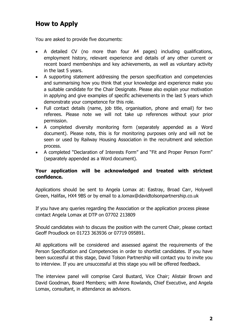### **How to Apply**

You are asked to provide five documents:

- A detailed CV (no more than four A4 pages) including qualifications, employment history, relevant experience and details of any other current or recent board memberships and key achievements, as well as voluntary activity in the last 5 years.
- A supporting statement addressing the person specification and competencies and summarising how you think that your knowledge and experience make you a suitable candidate for the Chair Designate. Please also explain your motivation in applying and give examples of specific achievements in the last 5 years which demonstrate your competence for this role.
- Full contact details (name, job title, organisation, phone and email) for two referees. Please note we will not take up references without your prior permission.
- A completed diversity monitoring form (separately appended as a Word document). Please note, this is for monitoring purposes only and will not be seen or used by Railway Housing Association in the recruitment and selection process.
- A completed "Declaration of Interests Form" and "Fit and Proper Person Form" (separately appended as a Word document).

### **Your application will be acknowledged and treated with strictest confidence.**

Applications should be sent to Angela Lomax at: Eastray, Broad Carr, Holywell Green, Halifax, HX4 9BS or by email to a.lomax@davidtolsonpartnership.co.uk

If you have any queries regarding the Association or the application process please contact Angela Lomax at DTP on 07702 213809

Should candidates wish to discuss the position with the current Chair, please contact Geoff Proudlock on 01723 363936 or 07719 095891.

All applications will be considered and assessed against the requirements of the Person Specification and Competencies in order to shortlist candidates. If you have been successful at this stage, David Tolson Partnership will contact you to invite you to interview. If you are unsuccessful at this stage you will be offered feedback.

The interview panel will comprise Carol Bustard, Vice Chair; Alistair Brown and David Goodman, Board Members; with Anne Rowlands, Chief Executive, and Angela Lomax, consultant, in attendance as advisors.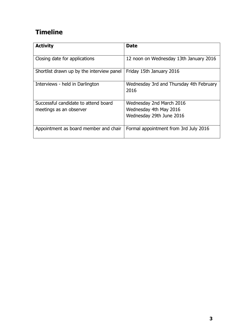## **Timeline**

| <b>Activity</b>                                                 | <b>Date</b>                                        |
|-----------------------------------------------------------------|----------------------------------------------------|
| Closing date for applications                                   | 12 noon on Wednesday 13th January 2016             |
| Shortlist drawn up by the interview panel                       | Friday 15th January 2016                           |
| Interviews - held in Darlington                                 | Wednesday 3rd and Thursday 4th February<br>2016    |
| Successful candidate to attend board<br>meetings as an observer | Wednesday 2nd March 2016<br>Wednesday 4th May 2016 |
|                                                                 | Wednesday 29th June 2016                           |
| Appointment as board member and chair                           | Formal appointment from 3rd July 2016              |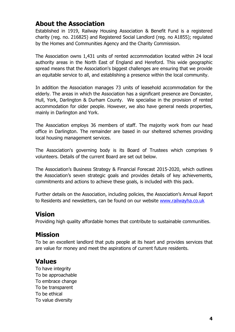### **About the Association**

Established in 1919, Railway Housing Association & Benefit Fund is a registered charity (reg. no. 216825) and Registered Social Landlord (reg. no A1855); regulated by the Homes and Communities Agency and the Charity Commission.

The Association owns 1,431 units of rented accommodation located within 24 local authority areas in the North East of England and Hereford. This wide geographic spread means that the Association's biggest challenges are ensuring that we provide an equitable service to all, and establishing a presence within the local community.

In addition the Association manages 73 units of leasehold accommodation for the elderly. The areas in which the Association has a significant presence are Doncaster, Hull, York, Darlington & Durham County. We specialise in the provision of rented accommodation for older people. However, we also have general needs properties, mainly in Darlington and York.

The Association employs 36 members of staff. The majority work from our head office in Darlington. The remainder are based in our sheltered schemes providing local housing management services.

The Association's governing body is its Board of Trustees which comprises 9 volunteers. Details of the current Board are set out below.

The Association's Business Strategy & Financial Forecast 2015-2020, which outlines the Association's seven strategic goals and provides details of key achievements, commitments and actions to achieve these goals, is included with this pack.

Further details on the Association, including policies, the Association's Annual Report to Residents and newsletters, can be found on our website [www.railwayha.co.uk](http://www.railwayha.co.uk/)

### **Vision**

Providing high quality affordable homes that contribute to sustainable communities.

### **Mission**

To be an excellent landlord that puts people at its heart and provides services that are value for money and meet the aspirations of current future residents.

### **Values**

To have integrity To be approachable To embrace change To be transparent To be ethical To value diversity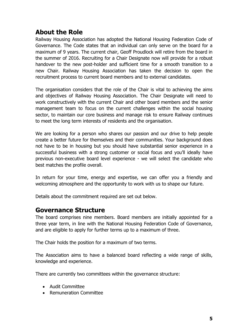### **About the Role**

Railway Housing Association has adopted the National Housing Federation Code of Governance. The Code states that an individual can only serve on the board for a maximum of 9 years. The current chair, Geoff Proudlock will retire from the board in the summer of 2016. Recruiting for a Chair Designate now will provide for a robust handover to the new post-holder and sufficient time for a smooth transition to a new Chair. Railway Housing Association has taken the decision to open the recruitment process to current board members and to external candidates.

The organisation considers that the role of the Chair is vital to achieving the aims and objectives of Railway Housing Association. The Chair Designate will need to work constructively with the current Chair and other board members and the senior management team to focus on the current challenges within the social housing sector, to maintain our core business and manage risk to ensure Railway continues to meet the long term interests of residents and the organisation.

We are looking for a person who shares our passion and our drive to help people create a better future for themselves and their communities. Your background does not have to be in housing but you should have substantial senior experience in a successful business with a strong customer or social focus and you'll ideally have previous non-executive board level experience - we will select the candidate who best matches the profile overall.

In return for your time, energy and expertise, we can offer you a friendly and welcoming atmosphere and the opportunity to work with us to shape our future.

Details about the commitment required are set out below.

### **Governance Structure**

The board comprises nine members. Board members are initially appointed for a three year term, in line with the National Housing Federation Code of Governance, and are eligible to apply for further terms up to a maximum of three.

The Chair holds the position for a maximum of two terms.

The Association aims to have a balanced board reflecting a wide range of skills, knowledge and experience.

There are currently two committees within the governance structure:

- Audit Committee
- Remuneration Committee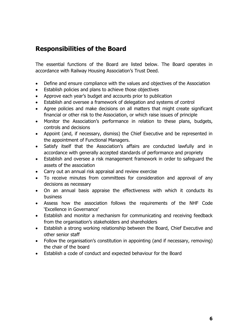### **Responsibilities of the Board**

The essential functions of the Board are listed below. The Board operates in accordance with Railway Housing Association's Trust Deed.

- Define and ensure compliance with the values and objectives of the Association
- **Establish policies and plans to achieve those objectives**
- Approve each year's budget and accounts prior to publication
- Establish and oversee a framework of delegation and systems of control
- Agree policies and make decisions on all matters that might create significant financial or other risk to the Association, or which raise issues of principle
- Monitor the Association's performance in relation to these plans, budgets, controls and decisions
- Appoint (and, if necessary, dismiss) the Chief Executive and be represented in the appointment of Functional Managers.
- Satisfy itself that the Association's affairs are conducted lawfully and in accordance with generally accepted standards of performance and propriety
- Establish and oversee a risk management framework in order to safeguard the assets of the association
- Carry out an annual risk appraisal and review exercise
- To receive minutes from committees for consideration and approval of any decisions as necessary
- On an annual basis appraise the effectiveness with which it conducts its business
- Assess how the association follows the requirements of the NHF Code 'Excellence in Governance'
- Establish and monitor a mechanism for communicating and receiving feedback from the organisation's stakeholders and shareholders
- Establish a strong working relationship between the Board, Chief Executive and other senior staff
- Follow the organisation's constitution in appointing (and if necessary, removing) the chair of the board
- Establish a code of conduct and expected behaviour for the Board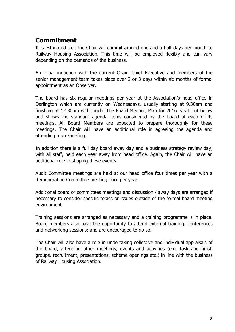## **Commitment**

It is estimated that the Chair will commit around one and a half days per month to Railway Housing Association. This time will be employed flexibly and can vary depending on the demands of the business.

An initial induction with the current Chair, Chief Executive and members of the senior management team takes place over 2 or 3 days within six months of formal appointment as an Observer.

The board has six regular meetings per year at the Association's head office in Darlington which are currently on Wednesdays, usually starting at 9.30am and finishing at 12.30pm with lunch. The Board Meeting Plan for 2016 is set out below and shows the standard agenda items considered by the board at each of its meetings. All Board Members are expected to prepare thoroughly for these meetings. The Chair will have an additional role in agreeing the agenda and attending a pre-briefing.

In addition there is a full day board away day and a business strategy review day, with all staff, held each year away from head office. Again, the Chair will have an additional role in shaping these events.

Audit Committee meetings are held at our head office four times per year with a Remuneration Committee meeting once per year.

Additional board or committees meetings and discussion / away days are arranged if necessary to consider specific topics or issues outside of the formal board meeting environment.

Training sessions are arranged as necessary and a training programme is in place. Board members also have the opportunity to attend external training, conferences and networking sessions; and are encouraged to do so.

The Chair will also have a role in undertaking collective and individual appraisals of the board, attending other meetings, events and activities (e.g. task and finish groups, recruitment, presentations, scheme openings etc.) in line with the business of Railway Housing Association.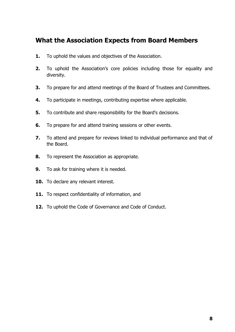### **What the Association Expects from Board Members**

- **1.** To uphold the values and objectives of the Association.
- **2.** To uphold the Association's core policies including those for equality and diversity.
- **3.** To prepare for and attend meetings of the Board of Trustees and Committees.
- **4.** To participate in meetings, contributing expertise where applicable.
- **5.** To contribute and share responsibility for the Board's decisions.
- **6.** To prepare for and attend training sessions or other events.
- **7.** To attend and prepare for reviews linked to individual performance and that of the Board.
- **8.** To represent the Association as appropriate.
- **9.** To ask for training where it is needed.
- **10.** To declare any relevant interest.
- 11. To respect confidentiality of information, and
- **12.** To uphold the Code of Governance and Code of Conduct.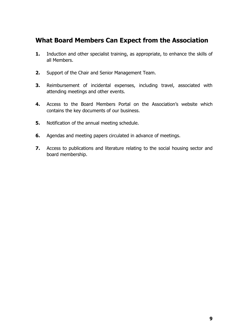### **What Board Members Can Expect from the Association**

- **1.** Induction and other specialist training, as appropriate, to enhance the skills of all Members.
- **2.** Support of the Chair and Senior Management Team.
- **3.** Reimbursement of incidental expenses, including travel, associated with attending meetings and other events.
- **4.** Access to the Board Members Portal on the Association's website which contains the key documents of our business.
- **5.** Notification of the annual meeting schedule.
- **6.** Agendas and meeting papers circulated in advance of meetings.
- **7.** Access to publications and literature relating to the social housing sector and board membership.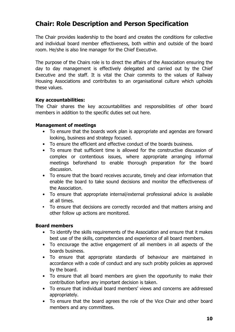### **Chair: Role Description and Person Specification**

The Chair provides leadership to the board and creates the conditions for collective and individual board member effectiveness, both within and outside of the board room. He/she is also line manager for the Chief Executive.

The purpose of the Chairs role is to direct the affairs of the Association ensuring the day to day management is effectively delegated and carried out by the Chief Executive and the staff. It is vital the Chair commits to the values of Railway Housing Associations and contributes to an organisational culture which upholds these values.

#### **Key accountabilities:**

The Chair shares the key accountabilities and responsibilities of other board members in addition to the specific duties set out here.

### **Management of meetings**

- To ensure that the boards work plan is appropriate and agendas are forward looking, business and strategy focused.
- To ensure the efficient and effective conduct of the boards business.
- To ensure that sufficient time is allowed for the constructive discussion of complex or contentious issues, where appropriate arranging informal meetings beforehand to enable thorough preparation for the board discussion.
- To ensure that the board receives accurate, timely and clear information that enable the board to take sound decisions and monitor the effectiveness of the Association.
- To ensure that appropriate internal/external professional advice is available at all times.
- **•** To ensure that decisions are correctly recorded and that matters arising and other follow up actions are monitored.

### **Board members**

- To identify the skills requirements of the Association and ensure that it makes best use of the skills, competencies and experience of all board members.
- To encourage the active engagement of all members in all aspects of the boards business.
- To ensure that appropriate standards of behaviour are maintained in accordance with a code of conduct and any such probity policies as approved by the board.
- To ensure that all board members are given the opportunity to make their contribution before any important decision is taken.
- To ensure that individual board members' views and concerns are addressed appropriately.
- To ensure that the board agrees the role of the Vice Chair and other board members and any committees.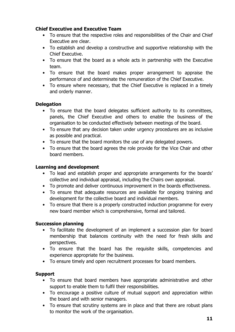### **Chief Executive and Executive Team**

- To ensure that the respective roles and responsibilities of the Chair and Chief Executive are clear.
- To establish and develop a constructive and supportive relationship with the Chief Executive.
- To ensure that the board as a whole acts in partnership with the Executive team.
- To ensure that the board makes proper arrangement to appraise the performance of and determinate the remuneration of the Chief Executive.
- To ensure where necessary, that the Chief Executive is replaced in a timely and orderly manner.

### **Delegation**

- To ensure that the board delegates sufficient authority to its committees, panels, the Chief Executive and others to enable the business of the organisation to be conducted effectively between meetings of the board.
- To ensure that any decision taken under urgency procedures are as inclusive as possible and practical.
- To ensure that the board monitors the use of any delegated powers.
- To ensure that the board agrees the role provide for the Vice Chair and other board members.

### **Learning and development**

- To lead and establish proper and appropriate arrangements for the boards' collective and individual appraisal, including the Chairs own appraisal.
- To promote and deliver continuous improvement in the boards effectiveness.
- To ensure that adequate resources are available for ongoing training and development for the collective board and individual members.
- To ensure that there is a properly constructed induction programme for every new board member which is comprehensive, formal and tailored.

### **Succession planning**

- To facilitate the development of an implement a succession plan for board membership that balances continuity with the need for fresh skills and perspectives.
- To ensure that the board has the requisite skills, competencies and experience appropriate for the business.
- To ensure timely and open recruitment processes for board members.

### **Support**

- To ensure that board members have appropriate administrative and other support to enable them to fulfil their responsibilities.
- To encourage a positive culture of mutual support and appreciation within the board and with senior managers.
- To ensure that scrutiny systems are in place and that there are robust plans to monitor the work of the organisation.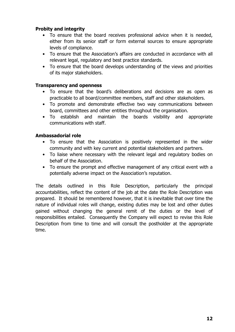### **Probity and integrity**

- To ensure that the board receives professional advice when it is needed, either from its senior staff or form external sources to ensure appropriate levels of compliance.
- To ensure that the Association's affairs are conducted in accordance with all relevant legal, regulatory and best practice standards.
- To ensure that the board develops understanding of the views and priorities of its major stakeholders.

### **Transparency and openness**

- To ensure that the board's deliberations and decisions are as open as practicable to all board/committee members, staff and other stakeholders.
- To promote and demonstrate effective two way communications between board, committees and other entities throughout the organisation.
- To establish and maintain the boards visibility and appropriate communications with staff.

### **Ambassadorial role**

- To ensure that the Association is positively represented in the wider community and with key current and potential stakeholders and partners.
- To liaise where necessary with the relevant legal and regulatory bodies on behalf of the Association.
- To ensure the prompt and effective management of any critical event with a potentially adverse impact on the Association's reputation.

The details outlined in this Role Description, particularly the principal accountabilities, reflect the content of the job at the date the Role Description was prepared. It should be remembered however, that it is inevitable that over time the nature of individual roles will change, existing duties may be lost and other duties gained without changing the general remit of the duties or the level of responsibilities entailed. Consequently the Company will expect to revise this Role Description from time to time and will consult the postholder at the appropriate time.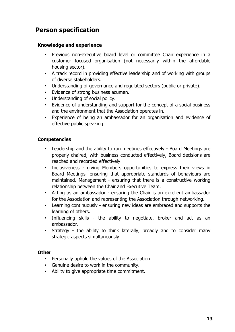### **Person specification**

### **Knowledge and experience**

- Previous non-executive board level or committee Chair experience in a customer focused organisation (not necessarily within the affordable housing sector).
- A track record in providing effective leadership and of working with groups of diverse stakeholders.
- Understanding of governance and regulated sectors (public or private).
- Evidence of strong business acumen.
- Understanding of social policy.
- Evidence of understanding and support for the concept of a social business and the environment that the Association operates in.
- Experience of being an ambassador for an organisation and evidence of effective public speaking.

### **Competencies**

- Leadership and the ability to run meetings effectively Board Meetings are properly chaired, with business conducted effectively, Board decisions are reached and recorded effectively.
- Inclusiveness giving Members opportunities to express their views in Board Meetings, ensuring that appropriate standards of behaviours are maintained. Management - ensuring that there is a constructive working relationship between the Chair and Executive Team.
- Acting as an ambassador ensuring the Chair is an excellent ambassador for the Association and representing the Association through networking.
- Learning continuously ensuring new ideas are embraced and supports the learning of others.
- Influencing skills the ability to negotiate, broker and act as an ambassador.
- Strategy the ability to think laterally, broadly and to consider many strategic aspects simultaneously.

### **Other**

- Personally uphold the values of the Association.
- Genuine desire to work in the community.
- Ability to give appropriate time commitment.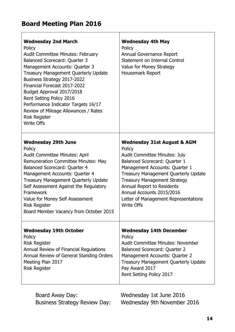## **Board Meeting Plan 2016**

| <b>Wednesday 2nd March</b><br>Policy<br><b>Audit Committee Minutes: February</b><br><b>Balanced Scorecard: Quarter 3</b><br>Management Accounts: Quarter 3<br>Treasury Management Quarterly Update<br>Business Strategy 2017-2022<br>Financial Forecast 2017-2022<br>Budget Approval 2017/2018<br>Rent Setting Policy 2016<br>Performance Indicator Targets 16/17<br>Review of Mileage Allowances / Rates<br><b>Risk Register</b><br><b>Write Offs</b> | <b>Wednesday 4th May</b><br>Policy<br>Annual Governance Report<br>Statement on Internal Control<br>Value for Money Strategy<br>Housemark Report                                                                                                                                                                                                                    |
|--------------------------------------------------------------------------------------------------------------------------------------------------------------------------------------------------------------------------------------------------------------------------------------------------------------------------------------------------------------------------------------------------------------------------------------------------------|--------------------------------------------------------------------------------------------------------------------------------------------------------------------------------------------------------------------------------------------------------------------------------------------------------------------------------------------------------------------|
| <b>Wednesday 29th June</b><br>Policy<br><b>Audit Committee Minutes: April</b><br><b>Remuneration Committee Minutes: May</b><br>Balanced Scorecard: Quarter 4<br>Management Accounts: Quarter 4<br>Treasury Management Quarterly Update<br>Self Assessment Against the Regulatory<br>Framework<br>Value for Money Self Assessment<br><b>Risk Register</b><br>Board Member Vacancy from October 2015                                                     | <b>Wednesday 31st August &amp; AGM</b><br>Policy<br><b>Audit Committee Minutes: July</b><br>Balanced Scorecard: Quarter 1<br>Management Accounts: Quarter 1<br>Treasury Management Quarterly Update<br><b>Treasury Management Strategy</b><br>Annual Report to Residents<br>Annual Accounts 2015/2016<br>Letter of Management Representations<br><b>Write Offs</b> |
| <b>Wednesday 19th October</b><br>Policy<br><b>Risk Register</b><br>Annual Review of Financial Regulations<br>Annual Review of General Standing Orders<br>Meeting Plan 2017<br><b>Risk Register</b>                                                                                                                                                                                                                                                     | <b>Wednesday 14th December</b><br>Policy<br><b>Audit Committee Minutes: November</b><br><b>Balanced Scorecard: Quarter 2</b><br>Management Accounts: Quarter 2<br><b>Treasury Management Quarterly Update</b><br>Pay Award 2017<br>Rent Setting Policy 2017                                                                                                        |

Board Away Day: Wednesday 1st June 2016

Business Strategy Review Day: Wednesday 9th November 2016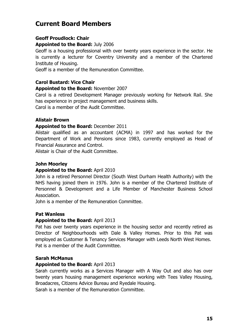### **Current Board Members**

### **Geoff Proudlock: Chair**

#### **Appointed to the Board:** July 2006

Geoff is a housing professional with over twenty years experience in the sector. He is currently a lecturer for Coventry University and a member of the Chartered Institute of Housing.

Geoff is a member of the Remuneration Committee.

### **Carol Bustard: Vice Chair**

### **Appointed to the Board:** November 2007

Carol is a retired Development Manager previously working for Network Rail. She has experience in project management and business skills.

Carol is a member of the Audit Committee.

### **Alistair Brown**

#### **Appointed to the Board:** December 2011

Alistair qualified as an accountant (ACMA) in 1997 and has worked for the Department of Work and Pensions since 1983, currently employed as Head of Financial Assurance and Control.

Alistair is Chair of the Audit Committee.

### **John Moorley**

#### **Appointed to the Board:** April 2010

John is a retired Personnel Director (South West Durham Health Authority) with the NHS having joined them in 1976. John is a member of the Chartered Institute of Personnel & Development and a Life Member of Manchester Business School Association.

John is a member of the Remuneration Committee.

### **Pat Wanless**

#### **Appointed to the Board:** April 2013

Pat has over twenty years experience in the housing sector and recently retired as Director of Neighbourhoods with Dale & Valley Homes. Prior to this Pat was employed as Customer & Tenancy Services Manager with Leeds North West Homes. Pat is a member of the Audit Committee.

#### **Sarah McManus**

#### **Appointed to the Board:** April 2013

Sarah currently works as a Services Manager with A Way Out and also has over twenty years housing management experience working with Tees Valley Housing, Broadacres, Citizens Advice Bureau and Ryedale Housing.

Sarah is a member of the Remuneration Committee.